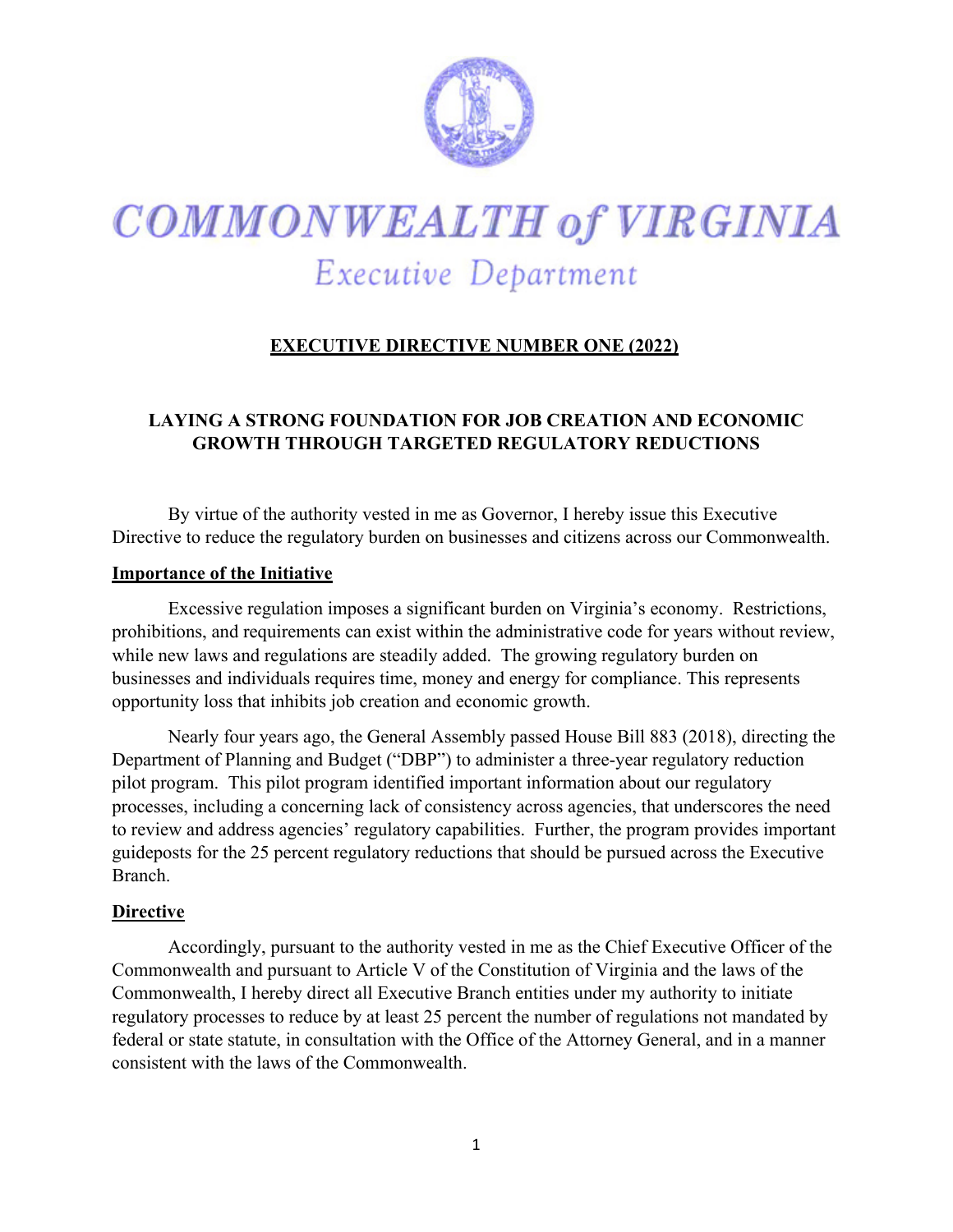

# **COMMONWEALTH of VIRGINIA** Executive Department

## **EXECUTIVE DIRECTIVE NUMBER ONE (2022)**

### **LAYING A STRONG FOUNDATION FOR JOB CREATION AND ECONOMIC GROWTH THROUGH TARGETED REGULATORY REDUCTIONS**

By virtue of the authority vested in me as Governor, I hereby issue this Executive Directive to reduce the regulatory burden on businesses and citizens across our Commonwealth.

#### **Importance of the Initiative**

Excessive regulation imposes a significant burden on Virginia's economy. Restrictions, prohibitions, and requirements can exist within the administrative code for years without review, while new laws and regulations are steadily added. The growing regulatory burden on businesses and individuals requires time, money and energy for compliance. This represents opportunity loss that inhibits job creation and economic growth.

Nearly four years ago, the General Assembly passed House Bill 883 (2018), directing the Department of Planning and Budget ("DBP") to administer a three-year regulatory reduction pilot program. This pilot program identified important information about our regulatory processes, including a concerning lack of consistency across agencies, that underscores the need to review and address agencies' regulatory capabilities. Further, the program provides important guideposts for the 25 percent regulatory reductions that should be pursued across the Executive Branch.

#### **Directive**

Accordingly, pursuant to the authority vested in me as the Chief Executive Officer of the Commonwealth and pursuant to Article V of the Constitution of Virginia and the laws of the Commonwealth, I hereby direct all Executive Branch entities under my authority to initiate regulatory processes to reduce by at least 25 percent the number of regulations not mandated by federal or state statute, in consultation with the Office of the Attorney General, and in a manner consistent with the laws of the Commonwealth.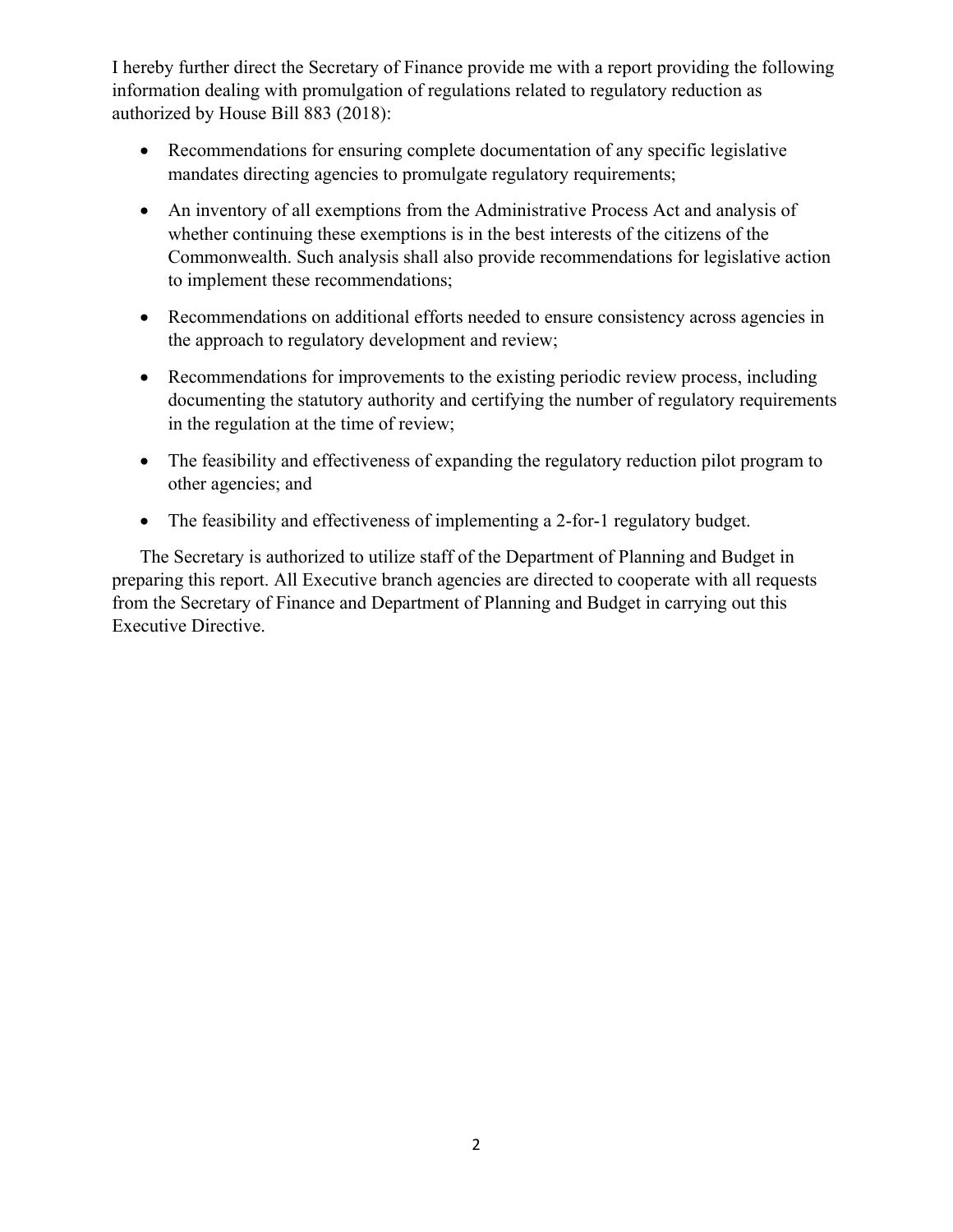I hereby further direct the Secretary of Finance provide me with a report providing the following information dealing with promulgation of regulations related to regulatory reduction as authorized by House Bill 883 (2018):

- Recommendations for ensuring complete documentation of any specific legislative mandates directing agencies to promulgate regulatory requirements;
- An inventory of all exemptions from the Administrative Process Act and analysis of whether continuing these exemptions is in the best interests of the citizens of the Commonwealth. Such analysis shall also provide recommendations for legislative action to implement these recommendations;
- Recommendations on additional efforts needed to ensure consistency across agencies in the approach to regulatory development and review;
- Recommendations for improvements to the existing periodic review process, including documenting the statutory authority and certifying the number of regulatory requirements in the regulation at the time of review;
- The feasibility and effectiveness of expanding the regulatory reduction pilot program to other agencies; and
- The feasibility and effectiveness of implementing a 2-for-1 regulatory budget.

The Secretary is authorized to utilize staff of the Department of Planning and Budget in preparing this report. All Executive branch agencies are directed to cooperate with all requests from the Secretary of Finance and Department of Planning and Budget in carrying out this Executive Directive.